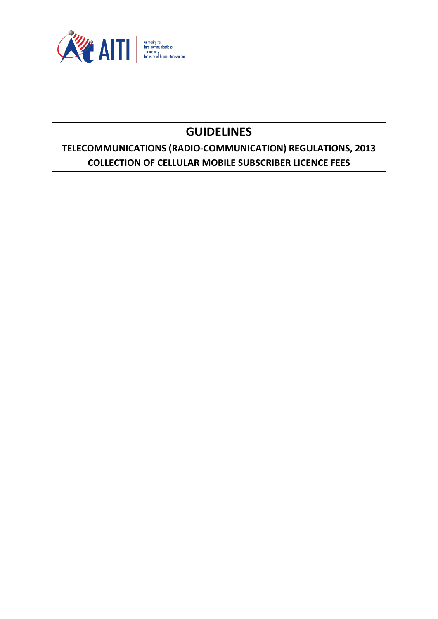

# **GUIDELINES**

# **TELECOMMUNICATIONS (RADIO-COMMUNICATION) REGULATIONS, 2013 COLLECTION OF CELLULAR MOBILE SUBSCRIBER LICENCE FEES**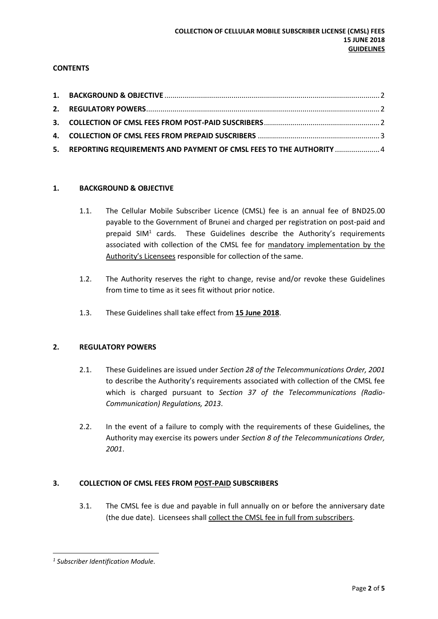# **CONTENTS**

| 5. REPORTING REQUIREMENTS AND PAYMENT OF CMSL FEES TO THE AUTHORITY  4 |  |
|------------------------------------------------------------------------|--|

#### <span id="page-1-0"></span>**1. BACKGROUND & OBJECTIVE**

- 1.1. The Cellular Mobile Subscriber Licence (CMSL) fee is an annual fee of BND25.00 payable to the Government of Brunei and charged per registration on post-paid and prepaid  $SIM<sup>1</sup>$  cards. These Guidelines describe the Authority's requirements associated with collection of the CMSL fee for mandatory implementation by the Authority's Licensees responsible for collection of the same.
- 1.2. The Authority reserves the right to change, revise and/or revoke these Guidelines from time to time as it sees fit without prior notice.
- 1.3. These Guidelines shall take effect from **15 June 2018**.

#### <span id="page-1-1"></span>**2. REGULATORY POWERS**

- 2.1. These Guidelines are issued under *Section 28 of the Telecommunications Order, 2001* to describe the Authority's requirements associated with collection of the CMSL fee which is charged pursuant to *Section 37 of the Telecommunications (Radio-Communication) Regulations, 2013*.
- 2.2. In the event of a failure to comply with the requirements of these Guidelines, the Authority may exercise its powers under *Section 8 of the Telecommunications Order, 2001*.

#### <span id="page-1-2"></span>**3. COLLECTION OF CMSL FEES FROM POST-PAID SUBSCRIBERS**

3.1. The CMSL fee is due and payable in full annually on or before the anniversary date (the due date). Licensees shall collect the CMSL fee in full from subscribers.

**<sup>.</sup>** *1 Subscriber Identification Module.*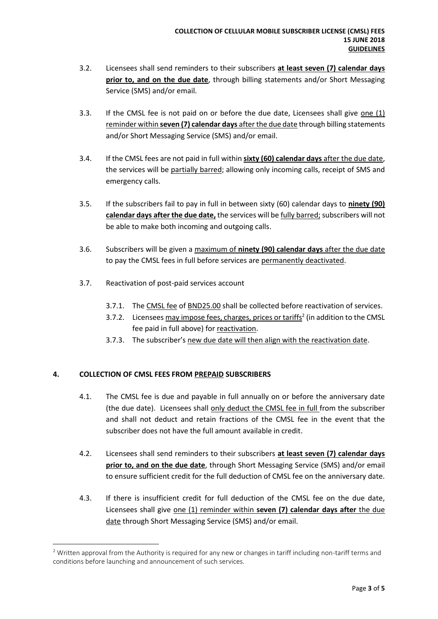- 3.2. Licensees shall send reminders to their subscribers **at least seven (7) calendar days prior to, and on the due date**, through billing statements and/or Short Messaging Service (SMS) and/or email.
- 3.3. If the CMSL fee is not paid on or before the due date, Licensees shall give one (1) reminder within **seven (7) calendar days** after the due date through billing statements and/or Short Messaging Service (SMS) and/or email.
- 3.4. If the CMSL fees are not paid in full within **sixty (60) calendar days** after the due date, the services will be partially barred; allowing only incoming calls, receipt of SMS and emergency calls.
- 3.5. If the subscribers fail to pay in full in between sixty (60) calendar days to **ninety (90) calendar days after the due date,** the services will be fully barred; subscribers will not be able to make both incoming and outgoing calls.
- 3.6. Subscribers will be given a maximum of **ninety (90) calendar days** after the due date to pay the CMSL fees in full before services are permanently deactivated.
- 3.7. Reactivation of post-paid services account
	- 3.7.1. The CMSL fee of BND25.00 shall be collected before reactivation of services.
	- 3.7.2. Licensees may impose fees, charges, prices or tariffs<sup>2</sup> (in addition to the CMSL fee paid in full above) for reactivation.
	- 3.7.3. The subscriber's new due date will then align with the reactivation date.

# <span id="page-2-0"></span>**4. COLLECTION OF CMSL FEES FROM PREPAID SUBSCRIBERS**

**.** 

- 4.1. The CMSL fee is due and payable in full annually on or before the anniversary date (the due date). Licensees shall only deduct the CMSL fee in full from the subscriber and shall not deduct and retain fractions of the CMSL fee in the event that the subscriber does not have the full amount available in credit.
- 4.2. Licensees shall send reminders to their subscribers **at least seven (7) calendar days prior to, and on the due date**, through Short Messaging Service (SMS) and/or email to ensure sufficient credit for the full deduction of CMSL fee on the anniversary date.
- 4.3. If there is insufficient credit for full deduction of the CMSL fee on the due date, Licensees shall give one (1) reminder within **seven (7) calendar days after** the due date through Short Messaging Service (SMS) and/or email.

<sup>&</sup>lt;sup>2</sup> Written approval from the Authority is required for any new or changes in tariff including non-tariff terms and conditions before launching and announcement of such services.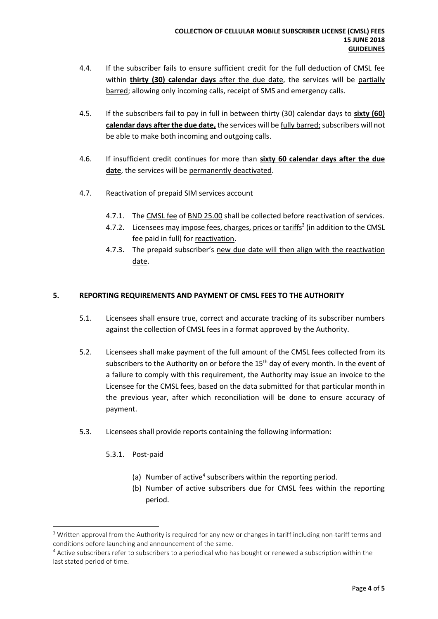- 4.4. If the subscriber fails to ensure sufficient credit for the full deduction of CMSL fee within **thirty (30) calendar days** after the due date, the services will be partially barred; allowing only incoming calls, receipt of SMS and emergency calls.
- 4.5. If the subscribers fail to pay in full in between thirty (30) calendar days to **sixty (60) calendar days after the due date,** the services will be fully barred; subscribers will not be able to make both incoming and outgoing calls.
- 4.6. If insufficient credit continues for more than **sixty 60 calendar days after the due date**, the services will be permanently deactivated.
- 4.7. Reactivation of prepaid SIM services account
	- 4.7.1. The CMSL fee of BND 25.00 shall be collected before reactivation of services.
	- 4.7.2. Licensees may impose fees, charges, prices or tariffs<sup>3</sup> (in addition to the CMSL fee paid in full) for reactivation.
	- 4.7.3. The prepaid subscriber's new due date will then align with the reactivation date.

#### <span id="page-3-0"></span>**5. REPORTING REQUIREMENTS AND PAYMENT OF CMSL FEES TO THE AUTHORITY**

- 5.1. Licensees shall ensure true, correct and accurate tracking of its subscriber numbers against the collection of CMSL fees in a format approved by the Authority.
- 5.2. Licensees shall make payment of the full amount of the CMSL fees collected from its subscribers to the Authority on or before the 15<sup>th</sup> day of every month. In the event of a failure to comply with this requirement, the Authority may issue an invoice to the Licensee for the CMSL fees, based on the data submitted for that particular month in the previous year, after which reconciliation will be done to ensure accuracy of payment.
- 5.3. Licensees shall provide reports containing the following information:
	- 5.3.1. Post-paid

**.** 

- (a) Number of active<sup>4</sup> subscribers within the reporting period.
- (b) Number of active subscribers due for CMSL fees within the reporting period.

<sup>&</sup>lt;sup>3</sup> Written approval from the Authority is required for any new or changes in tariff including non-tariff terms and conditions before launching and announcement of the same.

<sup>4</sup> Active subscribers refer to subscribers to a periodical who has bought or renewed a subscription within the last stated period of time.